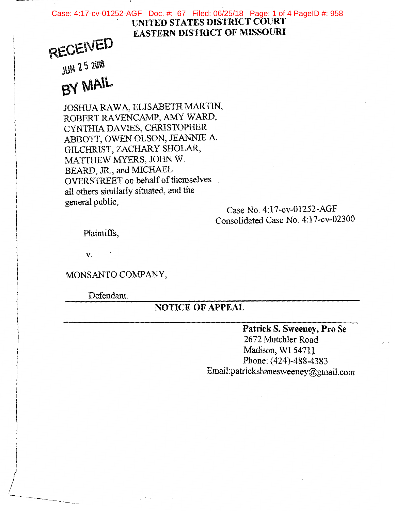#### **UNITED STATES DISTRICT COURT EASTERN DISTRICT OF MISSOURI**  Case: 4:17-cv-01252-AGF Doc. #: 67 Filed: 06/25/18 Page: 1 of 4 PageID #: 958

## **RECEIVED**

**JUN 2.5 2018** 

# $BY$  *MAIL*

JOSHUA RAWA, ELISABETH MARTIN, ROBERT RAVENCAMP, AMY WARD, CYNTHIA DAVIES, CHRISTOPHER ABBOTT, OWEN OLSON, JEANNIE A. GILCHRIST, ZACHARY SHOLAR, MATTHEW MYERS, JOHN W. BEARD, JR., and MICHAEL OVERSTREET on behalf of themselves all others similarly situated, and the general public,<br>
Case No. 4:17-cv-01252-AGF

Consolidated Case No. 4:17-cv-02300

Plaintiffs,

v.

 $\bigg/$ 

 $\angle$ 

MONSANTO COMPANY,

Defendant.

### **NOTICE OF APPEAL**

**Patrick S. Sweeney, Pro Se**  2672 Mutchler Road Madison, WI 54711 Phone: (424)-488-4383 Email:patrickshanesweeney@gmail.com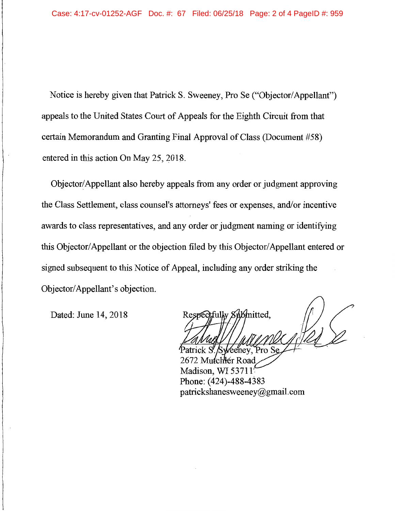Notice is hereby given that Patrick S. Sweeney, Pro Se ("Objector/ Appellant") appeals to the United States Court of Appeals for the Eighth Circuit from that certain Memorandum and Granting Final Approval of Class (Document #58) entered in this action On May 25, 2018.

Objector/ Appellant also hereby appeals from any order or judgment approving the Class Settlement, class counsel's attorneys' fees or expenses, and/or incentive awards to class representatives, and any order or judgment naming or identifying this Objector/ Appellant or the objection filed by this Objector/ Appellant entered or signed subsequent to this Notice of Appeal, including any order striking the Objector/ Appellant's objection.

Dated: June 14, 2018

Respectfully Submitted.

Mutchler Road Madison, WI 53711 Phone: (424)-488-4383 patrickshanesweeney@gmail.com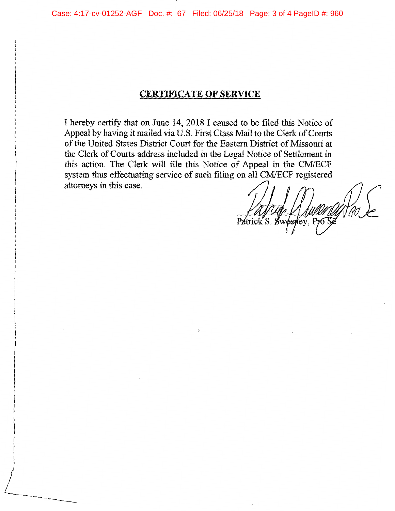### **CERTIFICATE OF SERVICE**

I hereby certify that on June 14, 2018 I caused to be filed this Notice of Appeal by having it mailed via U.S. First Class Mail to the Clerk of Courts of the United States District Court for the Eastern District of Missouri at the Clerk of Courts address included in the Legal Notice of Settlement in this action. The Clerk will file this Notice of Appeal in the CM/ECF system thus effectuating service of such filing on all CM/ECF registered attorneys in this case.

 $\mathbf{p}_i$